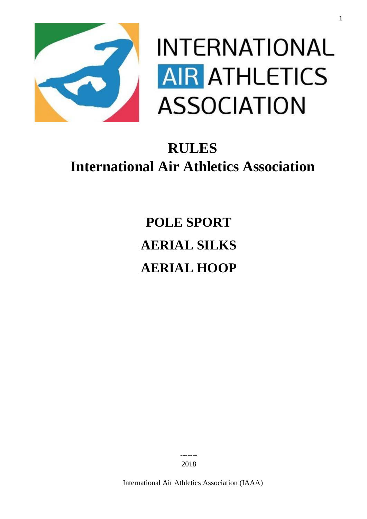

# **INTERNATIONAL AIR ATHLETICS ASSOCIATION**

# **RULES International Air Athletics Association**

**POLE SPORT AERIAL SILKS AERIAL HOOP**

> ------- 2018

International Air Athletics Association (IAAA)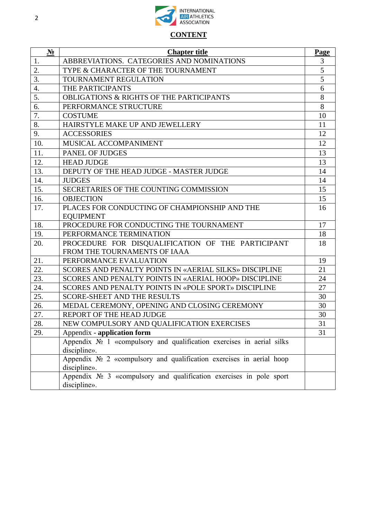

# **CONTENT**

| $N_2$ | <b>Chapter title</b>                                                    | Page  |  |  |
|-------|-------------------------------------------------------------------------|-------|--|--|
| 1.    | ABBREVIATIONS. CATEGORIES AND NOMINATIONS                               | 3     |  |  |
| 2.    | TYPE & CHARACTER OF THE TOURNAMENT                                      | 5     |  |  |
| 3.    | <b>TOURNAMENT REGULATION</b>                                            |       |  |  |
| 4.    | THE PARTICIPANTS                                                        | 6     |  |  |
| 5.    | <b>OBLIGATIONS &amp; RIGHTS OF THE PARTICIPANTS</b>                     | $8\,$ |  |  |
| 6.    | PERFORMANCE STRUCTURE                                                   | 8     |  |  |
| 7.    | <b>COSTUME</b>                                                          | 10    |  |  |
| 8.    | HAIRSTYLE MAKE UP AND JEWELLERY                                         | 11    |  |  |
| 9.    | <b>ACCESSORIES</b>                                                      | 12    |  |  |
| 10.   | MUSICAL ACCOMPANIMENT                                                   | 12    |  |  |
| 11.   | PANEL OF JUDGES                                                         | 13    |  |  |
| 12.   | <b>HEAD JUDGE</b>                                                       | 13    |  |  |
| 13.   | DEPUTY OF THE HEAD JUDGE - MASTER JUDGE                                 | 14    |  |  |
| 14.   | <b>JUDGES</b>                                                           | 14    |  |  |
| 15.   | SECRETARIES OF THE COUNTING COMMISSION                                  | 15    |  |  |
| 16.   | <b>OBJECTION</b>                                                        | 15    |  |  |
| 17.   | PLACES FOR CONDUCTING OF CHAMPIONSHIP AND THE                           | 16    |  |  |
|       | <b>EQUIPMENT</b>                                                        |       |  |  |
| 18.   | PROCEDURE FOR CONDUCTING THE TOURNAMENT                                 | 17    |  |  |
| 19.   | PERFORMANCE TERMINATION                                                 | 18    |  |  |
| 20.   | PROCEDURE FOR DISQUALIFICATION OF THE PARTICIPANT                       | 18    |  |  |
|       | FROM THE TOURNAMENTS OF IAAA                                            |       |  |  |
| 21.   | PERFORMANCE EVALUATION                                                  | 19    |  |  |
| 22.   | SCORES AND PENALTY POINTS IN «AERIAL SILKS» DISCIPLINE                  | 21    |  |  |
| 23.   | SCORES AND PENALTY POINTS IN «AERIAL HOOP» DISCIPLINE                   | 24    |  |  |
| 24.   | SCORES AND PENALTY POINTS IN «POLE SPORT» DISCIPLINE                    | 27    |  |  |
| 25.   | <b>SCORE-SHEET AND THE RESULTS</b>                                      | 30    |  |  |
| 26.   | MEDAL CEREMONY, OPENING AND CLOSING CEREMONY                            | 30    |  |  |
| 27.   | REPORT OF THE HEAD JUDGE                                                | 30    |  |  |
| 28.   | NEW COMPULSORY AND QUALIFICATION EXERCISES                              | 31    |  |  |
| 29.   | Appendix - application form                                             | 31    |  |  |
|       | Appendix No 1 «compulsory and qualification exercises in aerial silks   |       |  |  |
|       | discipline».                                                            |       |  |  |
|       | Appendix $N_2$ 2 «compulsory and qualification exercises in aerial hoop |       |  |  |
|       | discipline».                                                            |       |  |  |
|       | Appendix $N_2$ 3 «compulsory and qualification exercises in pole sport  |       |  |  |
|       | discipline».                                                            |       |  |  |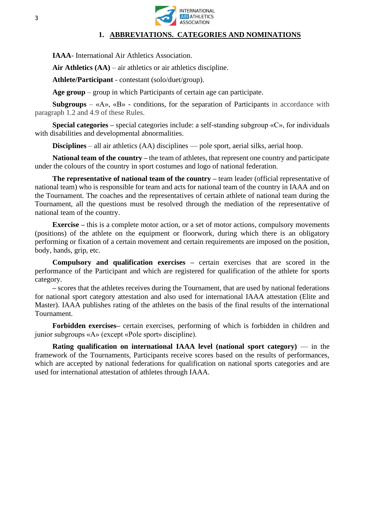

#### **1. ABBREVIATIONS. CATEGORIES AND NOMINATIONS**

**IAAA**- International Air Athletics Association.

**Air Athletics (AA)** – air athletics or air athletics discipline.

**Athlete/Participant** - contestant (solo/duet/group).

**Age group** – group in which Participants of certain age can participate.

**Subgroups** – «A», «B» - conditions, for the separation of Participants in accordance with paragraph 1.2 and 4.9 of these Rules.

**Special categories –** special categories include: a self-standing subgroup «С», for individuals with disabilities and developmental abnormalities.

**Disciplines** – all air athletics (AA) disciplines — pole sport, aerial silks, aerial hoop.

**National team of the country –** the team of athletes, that represent one country and participate under the colours of the country in sport costumes and logo of national federation.

**The representative of national team of the country –** team leader (official representative of national team) who is responsible for team and acts for national team of the country in IAAA and on the Tournament. The coaches and the representatives of certain athlete of national team during the Tournament, all the questions must be resolved through the mediation of the representative of national team of the country.

**Exercise –** this is a complete motor action, or a set of motor actions, compulsory movements (positions) of the athlete on the equipment or floorwork, during which there is an obligatory performing or fixation of a certain movement and certain requirements are imposed on the position, body, hands, grip, etc.

**Compulsory and qualification exercises –** certain exercises that are scored in the performance of the Participant and which are registered for qualification of the athlete for sports category.

**–** scores that the athletes receives during the Tournament, that are used by national federations for national sport category attestation and also used for international IAAA attestation (Elite and Master). IAAA publishes rating of the athletes on the basis of the final results of the international Tournament.

**Forbidden exercises–** certain exercises, performing of which is forbidden in children and junior subgroups «А» (except «Pole sport» discipline).

**Rating qualification on international IAAA level (national sport category)** –– in the framework of the Tournaments, Participants receive scores based on the results of performances, which are accepted by national federations for qualification on national sports categories and are used for international attestation of athletes through IAAA.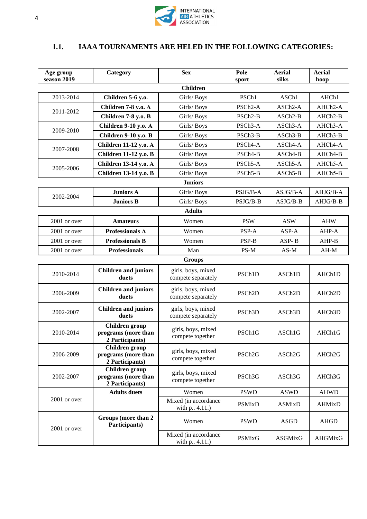

# **1.1. IAAA TOURNAMENTS ARE HELED IN THE FOLLOWING CATEGORIES:**

| Age group<br>season 2019 | Category                                                 | <b>Sex</b>                               | Pole<br>sport        | <b>Aerial</b><br>silks | <b>Aerial</b><br>hoop |
|--------------------------|----------------------------------------------------------|------------------------------------------|----------------------|------------------------|-----------------------|
|                          |                                                          | <b>Children</b>                          |                      |                        |                       |
| 2013-2014                | Children 5-6 y.o.                                        | Girls/Boys                               | PSCh1                | ASCh1                  | AHCh1                 |
|                          | Children 7-8 y.o. A                                      | Girls/Boys                               | PSCh <sub>2</sub> -A | ASCh <sub>2</sub> -A   | AHCh2-A               |
| 2011-2012                | Children 7-8 y.o. B                                      | Girls/Boys                               | PSCh <sub>2</sub> -B | ASCh <sub>2</sub> -B   | AHCh2-B               |
|                          | <b>Children 9-10 y.o. A</b>                              | Girls/Boys                               | PSCh3-A              | ASCh3-A                | AHCh3-A               |
| 2009-2010                | <b>Children 9-10 y.o. B</b>                              | Girls/Boys                               | PSCh <sub>3</sub> -B | ASCh3-B                | AHCh3-B               |
|                          | <b>Children 11-12 y.o. A</b>                             | Girls/Boys                               | PSCh4-A              | ASCh4-A                | AHCh4-A               |
| 2007-2008                | <b>Children 11-12 y.o. B</b>                             | Girls/Boys                               | PSCh4-B              | ASCh4-B                | AHCh4-B               |
|                          | <b>Children 13-14 y.o. A</b>                             | Girls/Boys                               | PSCh5-A              | ASCh5-A                | AHCh5-A               |
| 2005-2006                | <b>Children 13-14 y.o. B</b>                             | Girls/Boys                               | PSCh5-B              | ASCh5-B                | AHCh5-B               |
|                          |                                                          | <b>Juniors</b>                           |                      |                        |                       |
| 2002-2004                | <b>Juniors A</b>                                         | Girls/Boys                               | PSJG/B-A             | $ASJG/B-A$             | AHJG/B-A              |
|                          | <b>Juniors B</b>                                         | Girls/Boys                               | PSJG/B-B             | $ASJG/B-B$             | AHJG/B-B              |
|                          |                                                          | <b>Adults</b>                            |                      |                        |                       |
| 2001 or over             | <b>Amateurs</b>                                          | Women                                    | <b>PSW</b>           | <b>ASW</b>             | <b>AHW</b>            |
| 2001 or over             | <b>Professionals A</b>                                   | Women                                    | PSP-A                | ASP-A                  | AHP-A                 |
| $2001$ or over           | <b>Professionals B</b>                                   | Women                                    | PSP-B                | ASP-B                  | AHP-B                 |
| 2001 or over             | <b>Professionals</b>                                     | Man                                      | $PS-M$               | $AS-M$                 | $AH-M$                |
|                          |                                                          | Groups                                   |                      |                        |                       |
| 2010-2014                | <b>Children and juniors</b><br>duets                     | girls, boys, mixed<br>compete separately | PSCh1D               | ASCh1D                 | AHCh1D                |
| 2006-2009                | <b>Children and juniors</b><br>duets                     | girls, boys, mixed<br>compete separately | PSCh <sub>2D</sub>   | ASCh <sub>2D</sub>     | AHCh2D                |
| 2002-2007                | <b>Children and juniors</b><br>duets                     | girls, boys, mixed<br>compete separately | PSCh <sub>3</sub> D  | ASCh <sub>3</sub> D    | AHCh3D                |
| 2010-2014                | Children group<br>programs (more than<br>2 Participants) | girls, boys, mixed<br>compete together   | PSCh1G               | ASCh1G                 | AHCh1G                |
| 2006-2009                | Children group<br>programs (more than<br>2 Participants) | girls, boys, mixed<br>compete together   | PSCh <sub>2G</sub>   | ASCh <sub>2G</sub>     | AHCh <sub>2G</sub>    |
| 2002-2007                | Children group<br>programs (more than<br>2 Participants) | girls, boys, mixed<br>compete together   | PSCh3G               | ASCh3G                 | AHCh3G                |
| 2001 or over             | <b>Adults</b> duets                                      | Women                                    | <b>PSWD</b>          | <b>ASWD</b>            | <b>AHWD</b>           |
|                          |                                                          | Mixed (in accordance<br>with p. 4.11.)   | <b>PSMixD</b>        | <b>ASMixD</b>          | <b>AHMixD</b>         |
| 2001 or over             | Groups (more than 2<br>Participants)                     | Women                                    | <b>PSWD</b>          | ASGD                   | <b>AHGD</b>           |
|                          |                                                          | Mixed (in accordance<br>with p. .4.11.)  | <b>PSMixG</b>        | ASGMixG                | AHGMixG               |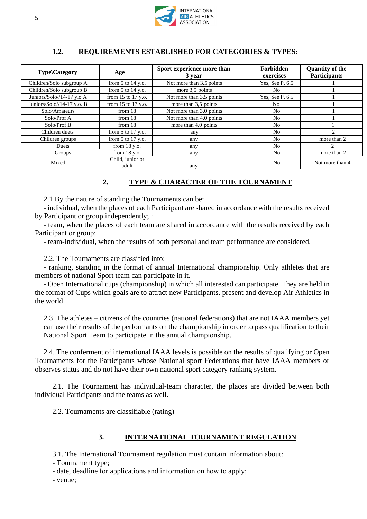

# **1.2. REQUIREMENTS ESTABLISHED FOR CATEGORIES & TYPES:**

| Type\Category                | Age                       | Sport experience more than<br>3 year | <b>Forbidden</b><br>exercises | <b>Quantity of the</b><br><b>Participants</b> |
|------------------------------|---------------------------|--------------------------------------|-------------------------------|-----------------------------------------------|
| Children/Solo subgroup A     | from $5$ to $14$ y.o.     | Not more than 3,5 points             | Yes, See P. 6.5               |                                               |
| Children/Solo subgroup B     | from $5$ to $14$ y.o.     | more 3.5 points                      | No                            |                                               |
| Juniors/Solo//14-17 y.o A    | from 15 to 17 y.o.        | Not more than 3,5 points             | Yes, See P. 6.5               |                                               |
| Juniors/Solo//14-17 y.o. $B$ | from 15 to 17 y.o.        | more than 3,5 points                 | No.                           |                                               |
| Solo/Amateurs                | from $18$                 | Not more than 3,0 points             | No.                           |                                               |
| Solo/Prof A                  | from $18$                 | Not more than 4,0 points             | No.                           |                                               |
| Solo/Prof B                  | from 18                   | more than 4,0 points                 | No.                           |                                               |
| Children duets               | from $5$ to $17$ y.o.     | any                                  | N <sub>o</sub>                |                                               |
| Children groups              | from $5$ to $17$ y.o.     | any                                  | N <sub>0</sub>                | more than 2                                   |
| Duets                        | from $18$ y.o.            | any                                  | N <sub>o</sub>                | $\mathcal{L}$                                 |
| Groups                       | from $18 y.o.$            | any                                  | N <sub>o</sub>                | more than 2                                   |
| Mixed                        | Child, junior or<br>adult | any                                  | N <sub>0</sub>                | Not more than 4                               |

#### **2. TYPE & CHARACTER OF THE TOURNAMENT**

2.1 By the nature of standing the Tournaments can be:

- individual, when the places of each Participant are shared in accordance with the results received by Participant or group independently;

- team, when the places of each team are shared in accordance with the results received by each Participant or group;

- team-individual, when the results of both personal and team performance are considered.

2.2. The Tournaments are classified into:

- ranking, standing in the format of annual International championship. Only athletes that are members of national Sport team can participate in it.

- Open International cups (championship) in which all interested can participate. They are held in the format of Cups which goals are to attract new Participants, present and develop Air Athletics in the world.

2.3 The athletes – citizens of the countries (national federations) that are not IAAA members yet can use their results of the performants on the championship in order to pass qualification to their National Sport Team to participate in the annual championship.

2.4. The conferment of international IAAA levels is possible on the results of qualifying or Open Tournaments for the Participants whose National sport Federations that have IAAA members or observes status and do not have their own national sport category ranking system.

2.1. The Tournament has individual-team character, the places are divided between both individual Participants and the teams as well.

2.2. Tournaments are classifiable (rating)

# **3. INTERNATIONAL TOURNAMENT REGULATION**

3.1. The International Tournament regulation must contain information about:

- Tournament type;

- date, deadline for applications and information on how to apply;

- venue;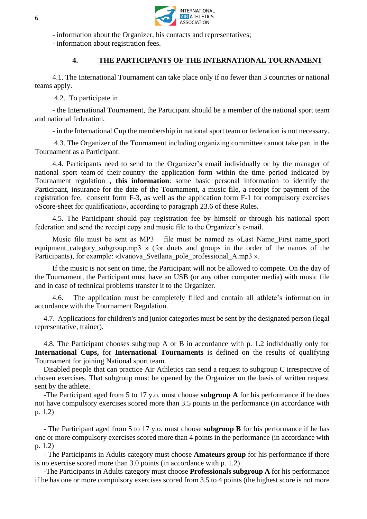

- information about the Organizer, his contacts and representatives;

- information about registration fees.

# **4. THE PARTICIPANTS OF THE INTERNATIONAL TOURNAMENT**

4.1. The International Tournament can take place only if no fewer than 3 countries or national teams apply.

4.2. To participate in

- the International Tournament, the Participant should be a member of the national sport team and national federation.

- in the International Cup the membership in national sport team or federation is not necessary.

4.3. The Organizer of the Tournament including organizing committee cannot take part in the Tournament as a Participant.

4.4. Participants need to send to the Organizer's email individually or by the manager of national sport team of their country the application form within the time period indicated by Tournament regulation , **this information**: some basic personal information to identify the Participant, insurance for the date of the Tournament, a music file, a receipt for payment of the registration fee, consent form F-3, as well as the application form F-1 for compulsory exercises «Score-sheet for qualification», according to paragraph 23.6 of these Rules.

4.5. The Participant should pay registration fee by himself or through his national sport federation and send the receipt copy and music file to the Organizer's e-mail.

Music file must be sent as MP3 file must be named as «Last Name\_First name\_sport equipment\_category\_subgroup.mp3 » (for duets and groups in the order of the names of the Participants), for example: «Ivanova\_Svetlana\_pole\_professional\_A.mp3 ».

If the music is not sent on time, the Participant will not be allowed to compete. On the day of the Tournament, the Participant must have an USB (or any other computer media) with music file and in case of technical problems transfer it to the Organizer.

4.6. The application must be completely filled and contain all athlete's information in accordance with the Tournament Regulation.

4.7. Applications for children's and junior categories must be sent by the designated person (legal representative, trainer).

4.8. The Participant chooses subgroup A or B in accordance with p. 1.2 individually only for **International Cups,** for **International Tournaments** is defined on the results of qualifying Tournament for joining National sport team.

Disabled people that can practice Air Athletics can send a request to subgroup C irrespective of chosen exercises. That subgroup must be opened by the Organizer on the basis of written request sent by the athlete.

-The Participant aged from 5 to 17 y.o. must choose **subgroup A** for his performance if he does not have compulsory exercises scored more than 3.5 points in the performance (in accordance with p. 1.2)

- The Participant aged from 5 to 17 y.o. must choose **subgroup B** for his performance if he has one or more compulsory exercises scored more than 4 points in the performance (in accordance with p. 1.2)

- The Participants in Adults category must choose **Amateurs group** for his performance if there is no exercise scored more than 3.0 points (in accordance with p. 1.2)

-The Participants in Adults category must choose **Professionals subgroup A** for his performance if he has one or more compulsory exercises scored from 3.5 to 4 points (the highest score is not more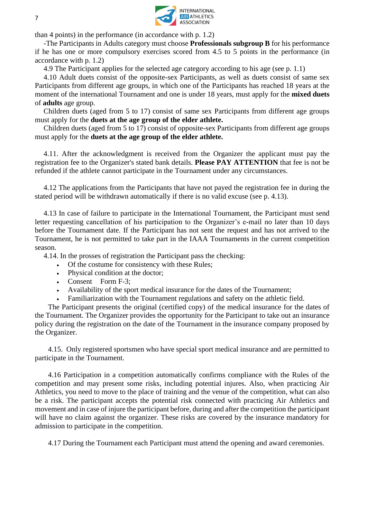

than 4 points) in the performance (in accordance with p. 1.2)

-The Participants in Adults category must choose **Professionals subgroup B** for his performance if he has one or more compulsory exercises scored from 4.5 to 5 points in the performance (in accordance with p. 1.2)

4.9 The Participant applies for the selected age category according to his age (see p. 1.1)

4.10 Adult duets consist of the opposite-sex Participants, as well as duets consist of same sex Participants from different age groups, in which one of the Participants has reached 18 years at the moment of the international Tournament and one is under 18 years, must apply for the **mixed duets**  of **adults** age group.

Children duets (aged from 5 to 17) consist of same sex Participants from different age groups must apply for the **duets at the age group of the elder athlete.**

Children duets (aged from 5 to 17) consist of opposite-sex Participants from different age groups must apply for the **duets at the age group of the elder athlete.**

4.11. After the acknowledgment is received from the Organizer the applicant must pay the registration fee to the Organizer's stated bank details. **Please PAY ATTENTION** that fee is not be refunded if the athlete cannot participate in the Tournament under any circumstances.

4.12 The applications from the Participants that have not payed the registration fee in during the stated period will be withdrawn automatically if there is no valid excuse (see p. 4.13).

4.13 In case of failure to participate in the International Tournament, the Participant must send letter requesting cancellation of his participation to the Organizer's e-mail no later than 10 days before the Tournament date. If the Participant has not sent the request and has not arrived to the Tournament, he is not permitted to take part in the IAAA Tournaments in the current competition season.

4.14. In the prosses of registration the Participant pass the checking:

- Of the costume for consistency with these Rules;
- Physical condition at the doctor;
- Consent Form F-3;
- Availability of the sport medical insurance for the dates of the Tournament;
- Familiarization with the Tournament regulations and safety on the athletic field.

The Participant presents the original (certified copy) of the medical insurance for the dates of the Tournament. The Organizer provides the opportunity for the Participant to take out an insurance policy during the registration on the date of the Tournament in the insurance company proposed by the Organizer.

4.15. Only registered sportsmen who have special sport medical insurance and are permitted to participate in the Tournament.

4.16 Participation in a competition automatically confirms compliance with the Rules of the competition and may present some risks, including potential injures. Also, when practicing Air Athletics, you need to move to the place of training and the venue of the competition, what can also be a risk. The participant accepts the potential risk connected with practicing Air Athletics and movement and in case of injure the participant before, during and after the competition the participant will have no claim against the organizer. These risks are covered by the insurance mandatory for admission to participate in the competition.

4.17 During the Tournament each Participant must attend the opening and award ceremonies.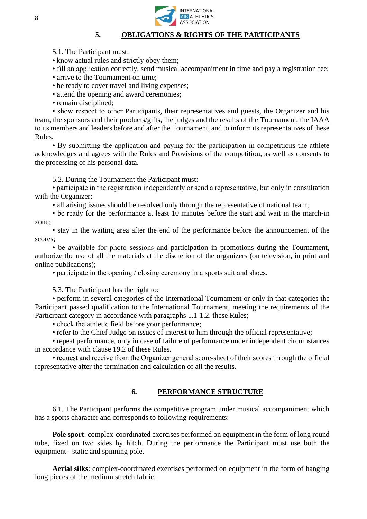

#### **5. OBLIGATIONS & RIGHTS OF THE PARTICIPANTS**

5.1. The Participant must:

• know actual rules and strictly obey them;

• fill an application correctly, send musical accompaniment in time and pay a registration fee;

- arrive to the Tournament on time;
- be ready to cover [travel and living expenses;](https://context.reverso.net/%D0%BF%D0%B5%D1%80%D0%B5%D0%B2%D0%BE%D0%B4/%D0%B0%D0%BD%D0%B3%D0%BB%D0%B8%D0%B9%D1%81%D0%BA%D0%B8%D0%B9-%D1%80%D1%83%D1%81%D1%81%D0%BA%D0%B8%D0%B9/travel+expenses)
- attend the opening and award ceremonies;
- remain disciplined;

• show respect to other Participants, their representatives and guests, the Organizer and his team, the sponsors and their products/gifts, the judges and the results of the Tournament, the IAAA to its members and leaders before and after the Tournament, and to inform its representatives of these Rules.

• By submitting the application and paying for the participation in competitions the athlete acknowledges and agrees with the Rules and Provisions of the competition, as well as consents to the processing of his personal data.

5.2. During the Tournament the Participant must:

• participate in the registration independently or send a representative, but only in consultation with the Organizer;

• all arising issues should be resolved only through the representative of national team;

• be ready for the performance at least 10 minutes before the start and wait in the march-in zone;

• stay in the waiting area after the end of the performance before the announcement of the scores;

• be available for photo sessions and participation in promotions during the Tournament, authorize the use of all the materials at the discretion of the organizers (on television, in print and online publications);

• participate in the opening / closing ceremony in a sports suit and shoes.

5.3. The Participant has the right to:

• perform in several categories of the International Tournament or only in that categories the Participant passed qualification to the International Tournament, meeting the requirements of the Participant category in accordance with paragraphs 1.1-1.2. these Rules;

• check the athletic field before your performance;

• refer to the Chief Judge on issues of interest to him through the official representative;

• repeat performance, only in case of failure of performance under independent circumstances in accordance with clause 19.2 of these Rules.

• request and receive from the Organizer general score-sheet of their scores through the official representative after the termination and calculation of all the results.

#### **6. PERFORMANCE STRUCTURE**

6.1. The Participant performs the competitive program under musical accompaniment which has a sports character and corresponds to following requirements:

**Pole sport**: complex-coordinated exercises performed on equipment in the form of long round tube, fixed on two sides by hitch. During the performance the Participant must use both the equipment - static and spinning pole.

**Aerial silks**: complex-coordinated exercises performed on equipment in the form of hanging long pieces of the medium stretch fabric.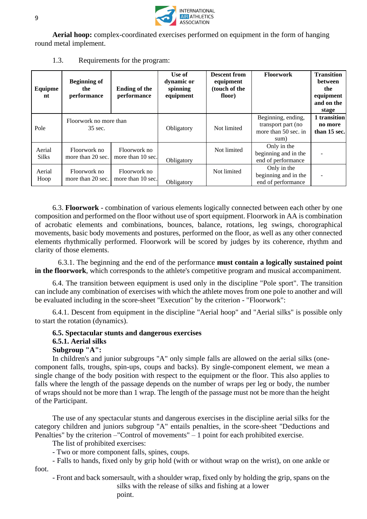

**Aerial hoop:** complex-coordinated exercises performed on equipment in the form of hanging round metal implement.

| Equipme<br>nt          | <b>Beginning of</b><br>the<br>performance | <b>Ending of the</b><br>performance | Use of<br>dynamic or<br>spinning<br>equipment | <b>Descent from</b><br>equipment<br>(touch of the<br>floor) | <b>Floorwork</b>                                                         | <b>Transition</b><br><b>between</b><br>the<br>equipment<br>and on the<br>stage |
|------------------------|-------------------------------------------|-------------------------------------|-----------------------------------------------|-------------------------------------------------------------|--------------------------------------------------------------------------|--------------------------------------------------------------------------------|
| Pole                   | Floorwork no more than<br>35 sec.         |                                     | Obligatory                                    | Not limited                                                 | Beginning, ending,<br>transport part (no<br>more than 50 sec. in<br>sum) | 1 transition<br>no more<br>than 15 sec.                                        |
| Aerial<br><b>Silks</b> | Floorwork no<br>more than 20 sec.         | Floorwork no<br>more than 10 sec.   | Obligatory                                    | Not limited                                                 | Only in the<br>beginning and in the<br>end of performance                |                                                                                |
| Aerial<br>Hoop         | Floorwork no<br>more than 20 sec.         | Floorwork no<br>more than 10 sec.   | Obligatory                                    | Not limited                                                 | Only in the<br>beginning and in the<br>end of performance                |                                                                                |

1.3. Requirements for the program:

6.3. **Floorwork** - combination of various elements logically connected between each other by one composition and performed on the floor without use of sport equipment. Floorwork in AA is combination of acrobatic elements and combinations, bounces, balance, rotations, leg swings, chorographical movements, basic body movements and postures, performed on the floor, as well as any other connected elements rhythmically performed. Floorwork will be scored by judges by its coherence, rhythm and clarity of those elements.

 6.3.1. The beginning and the end of the performance **must contain a logically sustained point in the floorwork**, which corresponds to the athlete's competitive program and musical accompaniment.

6.4. The transition between equipment is used only in the discipline "Pole sport". The transition can include any combination of exercises with which the athlete moves from one pole to another and will be evaluated including in the score-sheet "Execution" by the criterion - "Floorwork":

6.4.1. Descent from equipment in the discipline "Aerial hoop" and "Aerial silks" is possible only to start the rotation (dynamics).

# **6.5. Spectacular stunts and dangerous exercises 6.5.1. Aerial silks Subgroup "A":**

In children's and junior subgroups "A" only simple falls are allowed on the aerial silks (onecomponent falls, troughs, spin-ups, coups and backs). By single-component element, we mean a single change of the body position with respect to the equipment or the floor. This also applies to falls where the length of the passage depends on the number of wraps per leg or body, the number of wraps should not be more than 1 wrap. The length of the passage must not be more than the height of the Participant.

The use of any spectacular stunts and dangerous exercises in the discipline aerial silks for the category children and juniors subgroup "A" entails penalties, in the score-sheet "Deductions and Penalties" by the criterion –"Control of movements" – 1 point for each prohibited exercise.

The list of prohibited exercises:

- Two or more component falls, spines, coups.

- Falls to hands, fixed only by grip hold (with or without wrap on the wrist), on one ankle or foot.

- Front and back somersault, with a shoulder wrap, fixed only by holding the grip, spans on the

silks with the release of silks and fishing at a lower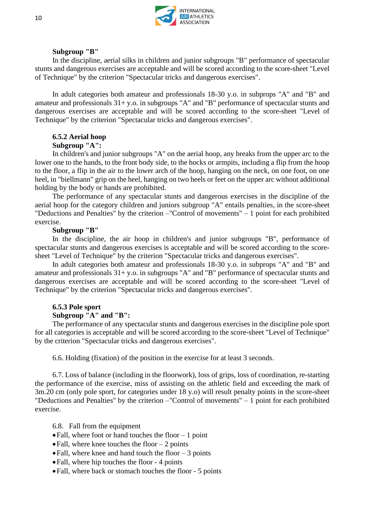

#### **Subgroup "B"**

In the discipline, aerial silks in children and junior subgroups "B" performance of spectacular stunts and dangerous exercises are acceptable and will be scored according to the score-sheet "Level of Technique" by the criterion "Spectacular tricks and dangerous exercises".

In adult categories both amateur and professionals 18-30 y.o. in subprops "A" and "B" and amateur and professionals 31+ y.o. in subgroups "A" and "B" performance of spectacular stunts and dangerous exercises are acceptable and will be scored according to the score-sheet "Level of Technique" by the criterion "Spectacular tricks and dangerous exercises".

#### **6.5.2 Aerial hoop Subgroup "A":**

In children's and junior subgroups "A" on the aerial hoop, any breaks from the upper arc to the lower one to the hands, to the front body side, to the hocks or armpits, including a flip from the hoop to the floor, a flip in the air to the lower arch of the hoop, hanging on the neck, on one foot, on one heel, in "biellmann" grip on the heel, hanging on two heels or feet on the upper arc without additional holding by the body or hands are prohibited.

The performance of any spectacular stunts and dangerous exercises in the discipline of the aerial hoop for the category children and juniors subgroup "A" entails penalties, in the score-sheet "Deductions and Penalties" by the criterion –"Control of movements" – 1 point for each prohibited exercise.

#### **Subgroup "B"**

In the discipline, the air hoop in children's and junior subgroups "B", performance of spectacular stunts and dangerous exercises is acceptable and will be scored according to the scoresheet "Level of Technique" by the criterion "Spectacular tricks and dangerous exercises".

In adult categories both amateur and professionals 18-30 y.o. in subprops "A" and "B" and amateur and professionals 31+ y.o. in subgroups "A" and "B" performance of spectacular stunts and dangerous exercises are acceptable and will be scored according to the score-sheet "Level of Technique" by the criterion "Spectacular tricks and dangerous exercises".

# **6.5.3 Pole sport**

#### **Subgroup "A" and "B":**

The performance of any spectacular stunts and dangerous exercises in the discipline pole sport for all categories is acceptable and will be scored according to the score-sheet "Level of Technique" by the criterion "Spectacular tricks and dangerous exercises".

6.6. Holding (fixation) of the position in the exercise for at least 3 seconds.

6.7. Loss of balance (including in the floorwork), loss of grips, loss of coordination, re-starting the performance of the exercise, miss of assisting on the athletic field and exceeding the mark of 3m.20 cm (only pole sport, for categories under 18 y.o) will result penalty points in the score-sheet "Deductions and Penalties" by the criterion –"Control of movements" – 1 point for each prohibited exercise.

6.8. Fall from the equipment

- Fall, where foot or hand touches the floor  $-1$  point
- Fall, where knee touches the floor  $-2$  points
- Fall, where knee and hand touch the floor  $-3$  points
- Fall, where hip touches the floor 4 points
- •Fall, where back or stomach touches the floor 5 points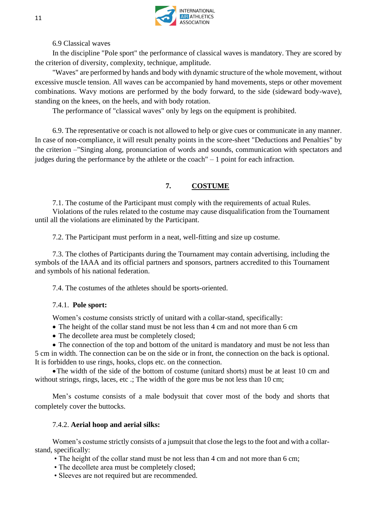

6.9 Classical waves

In the discipline "Pole sport" the performance of classical waves is mandatory. They are scored by the criterion of diversity, complexity, technique, amplitude.

"Waves" are performed by hands and body with dynamic structure of the whole movement, without excessive muscle tension. All waves can be accompanied by hand movements, steps or other movement combinations. Wavy motions are performed by the body forward, to the side (sideward body-wave), standing on the knees, on the heels, and with body rotation.

The performance of "classical waves" only by legs on the equipment is prohibited.

6.9. The representative or coach is not allowed to help or give cues or communicate in any manner. In case of non-compliance, it will result penalty points in the score-sheet "Deductions and Penalties" by the criterion –"Singing along, pronunciation of words and sounds, communication with spectators and judges during the performance by the athlete or the coach" – 1 point for each infraction.

# **7. COSTUME**

7.1. The costume of the Participant must comply with the requirements of actual Rules. Violations of the rules related to the costume may cause disqualification from the Tournament until all the violations are eliminated by the Participant.

7.2. The Participant must perform in a neat, well-fitting and size up costume.

7.3. The clothes of Participants during the Tournament may contain advertising, including the symbols of the IAAA and its official partners and sponsors, partners accredited to this Tournament and symbols of his national federation.

7.4. The costumes of the athletes should be sports-oriented.

#### 7.4.1. **Pole sport:**

Women's costume consists strictly of unitard with a collar-stand, specifically:

- The height of the collar stand must be not less than 4 cm and not more than 6 cm
- The decollete area must be completely closed;

• The connection of the top and bottom of the unitard is mandatory and must be not less than 5 cm in width. The connection can be on the side or in front, the connection on the back is optional. It is forbidden to use rings, hooks, clops etc. on the connection.

•The width of the side of the bottom of costume (unitard shorts) must be at least 10 cm and without strings, rings, laces, etc .; The width of the gore mus be not less than 10 cm;

Men's costume consists of a male bodysuit that cover most of the body and shorts that completely cover the buttocks.

#### 7.4.2. **Aerial hoop and aerial silks:**

Women's costume strictly consists of a jumpsuit that close the legs to the foot and with a collarstand, specifically:

- The height of the collar stand must be not less than 4 cm and not more than 6 cm;
- The decollete area must be completely closed;
- Sleeves are not required but are recommended.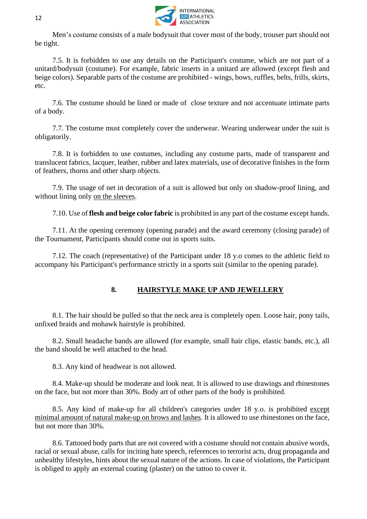

Men's costume consists of a male bodysuit that cover most of the body, trouser part should not be tight.

7.5. It is forbidden to use any details on the Participant's costume, which are not part of a unitard/bodysuit (costume). For example, fabric inserts in a unitard are allowed (except flesh and beige colors). Separable parts of the costume are prohibited - wings, bows, ruffles, belts, frills, skirts, etc.

7.6. The costume should be lined or made of close texture and not accentuate intimate parts of a body.

7.7. The costume must completely cover the underwear. Wearing underwear under the suit is obligatorily.

7.8. It is forbidden to use costumes, including any costume parts, made of transparent and translucent fabrics, lacquer, leather, rubber and latex materials, use of decorative finishes in the form of feathers, thorns and other sharp objects.

7.9. The usage of net in decoration of a suit is allowed but only on shadow-proof lining, and without lining only on the sleeves.

7.10. Use of **flesh and beige color fabric** is prohibited in any part of the costume except hands.

7.11. At the opening ceremony (opening parade) and the award ceremony (closing parade) of the Tournament, Participants should come out in sports suits.

7.12. The coach (representative) of the Participant under 18 y.o comes to the athletic field to accompany his Participant's performance strictly in a sports suit (similar to the opening parade).

# **8. HAIRSTYLE MAKE UP AND JEWELLERY**

8.1. The hair should be pulled so that the neck area is completely open. Loose hair, pony tails, unfixed braids and mohawk hairstyle is prohibited.

8.2. Small headache bands are allowed (for example, small hair clips, elastic bands, etc.), all the band should be well attached to the head.

8.3. Any kind of headwear is not allowed.

8.4. Make-up should be moderate and look neat. It is allowed to use drawings and rhinestones on the face, but not more than 30%. Body art of other parts of the body is prohibited.

8.5. Any kind of make-up for all children's categories under 18 y.o. is prohibited except minimal amount of natural make-up on brows and lashes. It is allowed to use rhinestones on the face, but not more than 30%.

8.6. Tattooed body parts that are not covered with a costume should not contain abusive words, racial or sexual abuse, calls for inciting hate speech, references to terrorist acts, drug propaganda and unhealthy lifestyles, hints about the sexual nature of the actions. In case of violations, the Participant is obliged to apply an external coating (plaster) on the tattoo to cover it.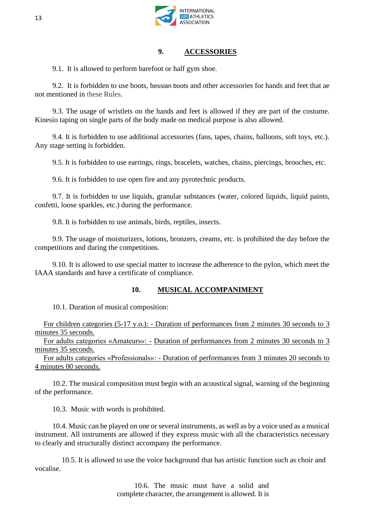

#### **9. ACCESSORIES**

9.1. It is allowed to perform barefoot or half gym shoe.

9.2. It is forbidden to use boots, hessian boots and other accessories for hands and feet that ae not mentioned in these Rules.

9.3. The usage of wristlets on the hands and feet is allowed if they are part of the costume. Kinesio taping on single parts of the body made on medical purpose is also allowed.

9.4. It is forbidden to use additional accessories (fans, tapes, chains, balloons, soft toys, etc.). Any stage setting is forbidden.

9.5. It is forbidden to use earrings, rings, bracelets, watches, chains, piercings, brooches, etc.

9.6. It is forbidden to use open fire and any pyrotechnic products.

9.7. It is forbidden to use liquids, granular substances (water, colored liquids, liquid paints, confetti, loose sparkles, etc.) during the performance.

9.8. It is forbidden to use animals, birds, reptiles, insects.

9.9. The usage of moisturizers, lotions, bronzers, creams, etc. is prohibited the day before the competitions and during the competitions.

9.10. It is allowed to use special matter to increase the adherence to the pylon, which meet the IAAA standards and have a certificate of compliance.

# **10. MUSICAL ACCOMPANIMENT**

10.1. Duration of musical composition:

For children categories (5-17 y.o.): - Duration of performances from 2 minutes 30 seconds to 3 minutes 35 seconds.

For adults categories «Amateurs»: - Duration of performances from 2 minutes 30 seconds to 3 minutes 35 seconds.

For adults categories «Professionals»: - Duration of performances from 3 minutes 20 seconds to 4 minutes 00 seconds.

10.2. The musical composition must begin with an acoustical signal, warning of the beginning of the performance.

10.3. Music with words is prohibited.

10.4. Music can be played on one or several instruments, as well as by a voice used as a musical instrument. All instruments are allowed if they express music with all the characteristics necessary to clearly and structurally distinct accompany the performance.

 10.5. It is allowed to use the voice background that has artistic function such as [choir](https://www.multitran.ru/c/m.exe?t=5655138_1_2&s1=%E0%F0%F2%E8%F1%F2%20%F5%EE%F0%E0) and vocalise.

> 10.6. The music must have a solid and complete character, the arrangement is allowed. It is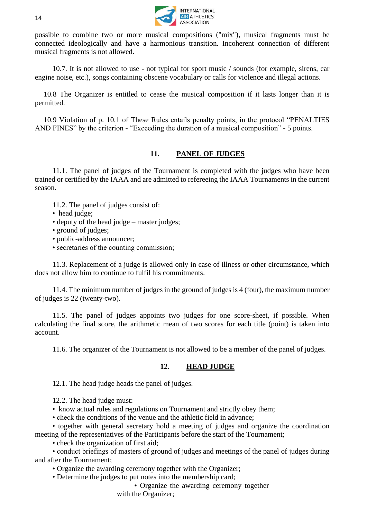

possible to combine two or more musical compositions ("mix"), musical fragments must be connected ideologically and have a harmonious transition. Incoherent connection of different musical fragments is not allowed.

10.7. It is not allowed to use - not typical for sport music / sounds (for example, sirens, car engine noise, etc.), songs containing obscene vocabulary or calls for violence and illegal actions.

10.8 The Organizer is entitled to cease the musical composition if it lasts longer than it is permitted.

10.9 Violation of p. 10.1 of These Rules entails penalty points, in the protocol "PENALTIES AND FINES" by the criterion - "Exceeding the duration of a musical composition" - 5 points.

#### **11. PANEL OF JUDGES**

11.1. The panel of judges of the Tournament is completed with the judges who have been trained or certified by the IAAA and are admitted to refereeing the IAAA Tournaments in the current season.

- 11.2. The panel of judges consist of:
- head judge;
- deputy of the head judge master judges;
- ground of judges;
- public-address announcer;
- secretaries of the counting commission;

11.3. Replacement of a judge is allowed only in case of illness or other circumstance, which does not allow him to continue to fulfil his commitments.

11.4. The minimum number of judges in the ground of judges is 4 (four), the maximum number of judges is 22 (twenty-two).

11.5. The panel of judges appoints two judges for one score-sheet, if possible. When calculating the final score, the arithmetic mean of two scores for each title (point) is taken into account.

11.6. The organizer of the Tournament is not allowed to be a member of the panel of judges.

#### **12. HEAD JUDGE**

12.1. The head judge heads the panel of judges.

12.2. The head judge must:

- know actual rules and regulations on Tournament and strictly obey them;
- check the conditions of the venue and the athletic field in advance;

• together with general secretary hold a meeting of judges and organize the coordination meeting of the representatives of the Participants before the start of the Tournament;

• check the organization of first aid;

• conduct briefings of masters of ground of judges and meetings of the panel of judges during and after the Tournament;

• Organize the awarding ceremony together with the Organizer;

• Determine the judges to put notes into the membership card;

• Organize the awarding ceremony together

with the Organizer;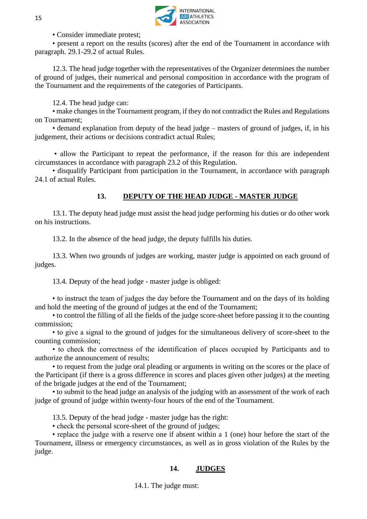

• Consider immediate protest;

• present a report on the results (scores) after the end of the Tournament in accordance with paragraph. 29.1-29.2 of actual Rules.

12.3. The head judge together with the representatives of the Organizer determines the number of ground of judges, their numerical and personal composition in accordance with the program of the Tournament and the requirements of the categories of Participants.

12.4. The head judge can:

• make changes in the Tournament program, if they do not contradict the Rules and Regulations on Tournament;

• demand explanation from deputy of the head judge – masters of ground of judges, if, in his judgement, their actions or decisions contradict actual Rules;

• allow the Participant to repeat the performance, if the reason for this are independent circumstances in accordance with paragraph 23.2 of this Regulation.

• disqualify Participant from participation in the Tournament, in accordance with paragraph 24.1 of actual Rules.

# **13. DEPUTY OF THE HEAD JUDGE - MASTER JUDGE**

13.1. The deputy head judge must assist the head judge performing his duties or do other work on his instructions.

13.2. In the absence of the head judge, the deputy fulfills his duties.

13.3. When two grounds of judges are working, master judge is appointed on each ground of judges.

13.4. Deputy of the head judge - master judge is obliged:

• to instruct the team of judges the day before the Tournament and on the days of its holding and hold the meeting of the ground of judges at the end of the Tournament;

• to control the filling of all the fields of the judge score-sheet before passing it to the counting commission;

• to give a signal to the ground of judges for the simultaneous delivery of score-sheet to the counting commission;

• to check the correctness of the identification of places occupied by Participants and to authorize the announcement of results;

• to request from the judge oral pleading or arguments in writing on the scores or the place of the Participant (if there is a gross difference in scores and places given other judges) at the meeting of the brigade judges at the end of the Tournament;

• to submit to the head judge an analysis of the judging with an assessment of the work of each judge of ground of judge within twenty-four hours of the end of the Tournament.

13.5. Deputy of the head judge - master judge has the right:

• check the personal score-sheet of the ground of judges;

• replace the judge with a reserve one if absent within a 1 (one) hour before the start of the Tournament, illness or emergency circumstances, as well as in gross violation of the Rules by the judge.

# **14. JUDGES**

14.1. The judge must: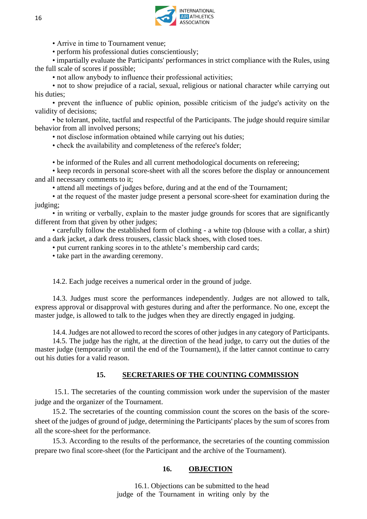

• Arrive in time to Tournament venue;

• perform his professional duties conscientiously:

• impartially evaluate the Participants' performances in strict compliance with the Rules, using the full scale of scores if possible;

• not allow anybody to influence their professional activities;

• not to show prejudice of a racial, sexual, religious or national character while carrying out his duties;

• prevent the influence of public opinion, possible criticism of the judge's activity on the validity of decisions;

• be tolerant, polite, tactful and respectful of the Participants. The judge should require similar behavior from all involved persons;

• not disclose information obtained while carrying out his duties;

• check the availability and completeness of the referee's folder;

• be informed of the Rules and all current methodological documents on refereeing;

• keep records in personal score-sheet with all the scores before the display or announcement and all necessary comments to it;

• attend all meetings of judges before, during and at the end of the Tournament;

• at the request of the master judge present a personal score-sheet for examination during the judging;

• in writing or verbally, explain to the master judge grounds for scores that are significantly different from that given by other judges;

• carefully follow the established form of clothing - a white top (blouse with a collar, a shirt) and a dark jacket, a dark dress trousers, classic black shoes, with closed toes.

• put current ranking scores in to the athlete's membership card cards;

• take part in the awarding ceremony.

14.2. Each judge receives a numerical order in the ground of judge.

14.3. Judges must score the performances independently. Judges are not allowed to talk, express approval or disapproval with gestures during and after the performance. No one, except the master judge, is allowed to talk to the judges when they are directly engaged in judging.

14.4. Judges are not allowed to record the scores of other judges in any category of Participants.

14.5. The judge has the right, at the direction of the head judge, to carry out the duties of the master judge (temporarily or until the end of the Tournament), if the latter cannot continue to carry out his duties for a valid reason.

#### **15. SECRETARIES OF THE COUNTING COMMISSION**

15.1. The secretaries of the counting commission work under the supervision of the master judge and the organizer of the Tournament.

15.2. The secretaries of the counting commission count the scores on the basis of the scoresheet of the judges of ground of judge, determining the Participants' places by the sum of scores from all the score-sheet for the performance.

15.3. According to the results of the performance, the secretaries of the counting commission prepare two final score-sheet (for the Participant and the archive of the Tournament).

#### **16. OBJECTION**

16.1. Objections can be submitted to the head judge of the Tournament in writing only by the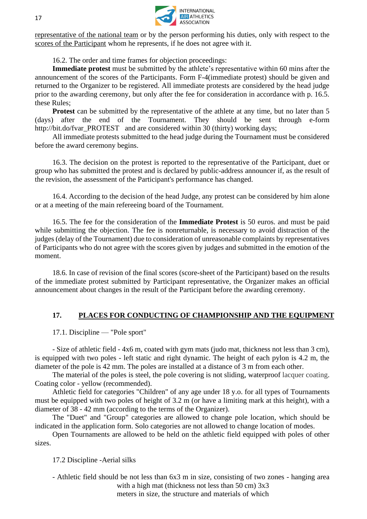

representative of the national team or by the person performing his duties, only with respect to the scores of the Participant whom he represents, if he does not agree with it.

16.2. The order and time frames for objection proceedings:

**Immediate protest** must be submitted by the athlete's representative within 60 mins after the announcement of the scores of the Participants. Form F-4(immediate protest) should be given and returned to the Organizer to be registered. All immediate protests are considered by the head judge prior to the awarding ceremony, but only after the fee for consideration in accordance with p. 16.5. these Rules;

**Protest** can be submitted by the representative of the athlete at any time, but no later than 5 (days) after the end of the Tournament. They should be sent through e-form http://bit.do/fvar\_PROTEST and are considered within 30 (thirty) working days;

All immediate protests submitted to the head judge during the Tournament must be considered before the award ceremony begins.

16.3. The decision on the protest is reported to the representative of the Participant, duet or group who has submitted the protest and is declared by public-address announcer if, as the result of the revision, the assessment of the Participant's performance has changed.

16.4. According to the decision of the head Judge, any protest can be considered by him alone or at a meeting of the main refereeing board of the Tournament.

16.5. The fee for the consideration of the **Immediate Protest** is 50 euros. and must be paid while submitting the objection. The fee is nonreturnable, is necessary to avoid distraction of the judges (delay of the Tournament) due to consideration of unreasonable complaints by representatives of Participants who do not agree with the scores given by judges and submitted in the emotion of the moment.

18.6. In case of revision of the final scores (score-sheet of the Participant) based on the results of the immediate protest submitted by Participant representative, the Organizer makes an official announcement about changes in the result of the Participant before the awarding ceremony.

# **17. PLACES FOR CONDUCTING OF CHAMPIONSHIP AND THE EQUIPMENT**

17.1. Discipline — "Pole sport"

- Size of athletic field - 4x6 m, coated with gym mats (judo mat, thickness not less than 3 cm), is equipped with two poles - left static and right dynamic. The height of each pylon is 4.2 m, the diameter of the pole is 42 mm. The poles are installed at a distance of 3 m from each other.

The material of the poles is steel, the pole covering is not sliding, waterproof lacquer coating. Coating color - yellow (recommended).

Athletic field for categories "Children" of any age under 18 y.o. for all types of Tournaments must be equipped with two poles of height of 3.2 m (or have a limiting mark at this height), with a diameter of 38 - 42 mm (according to the terms of the Organizer).

The "Duet" and "Group" categories are allowed to change pole location, which should be indicated in the application form. Solo categories are not allowed to change location of modes.

Open Tournaments are allowed to be held on the athletic field equipped with poles of other sizes.

17.2 Discipline -Aerial silks

- Athletic field should be not less than 6x3 m in size, consisting of two zones - hanging area with a high mat (thickness not less than 50 cm) 3x3 meters in size, the structure and materials of which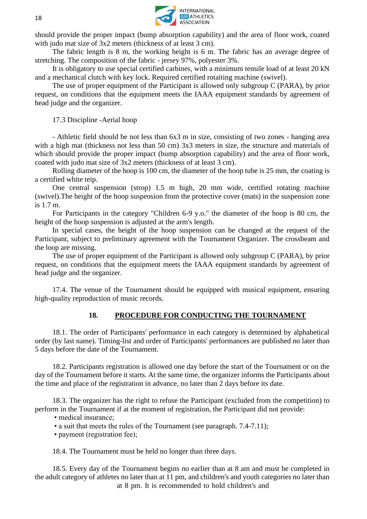

should provide the proper impact (bump absorption capability) and the area of floor work, coated with judo mat size of  $3x2$  meters (thickness of at least 3 cm).

The fabric length is 8 m, the working height is 6 m. The fabric has an average degree of stretching. The composition of the fabric - jersey 97%, polyester 3%.

It is obligatory to use special certified carbines, with a minimum tensile load of at least 20 kN and a mechanical clutch with key lock. Required certified rotaiting machine (swivel).

The use of proper equipment of the Participant is allowed only subgroup C (PARA), by prior request, on conditions that the equipment meets the IAAA equipment standards by agreement of head judge and the organizer.

17.3 Discipline -Aerial hoop

- Athletic field should be not less than 6x3 m in size, consisting of two zones - hanging area with a high mat (thickness not less than 50 cm) 3x3 meters in size, the structure and materials of which should provide the proper impact (bump absorption capability) and the area of floor work, coated with judo mat size of 3x2 meters (thickness of at least 3 cm).

Rolling diameter of the hoop is 100 cm, the diameter of the hoop tube is 25 mm, the coating is a certified white teip.

One central suspension (strop) 1.5 m high, 20 mm wide, certified rotating machine (swivel).The height of the hoop suspension from the protective cover (mats) in the suspension zone is 1.7 m.

For Participants in the category "Children 6-9 y.o." the diameter of the hoop is 80 cm, the height of the hoop suspension is adjusted at the arm's length.

In special cases, the height of the hoop suspension can be changed at the request of the Participant, subject to preliminary agreement with the Tournament Organizer. The crossbeam and the loop are missing.

The use of proper equipment of the Participant is allowed only subgroup C (PARA), by prior request, on conditions that the equipment meets the IAAA equipment standards by agreement of head judge and the organizer.

17.4. The venue of the Tournament should be equipped with musical equipment, ensuring high-quality reproduction of music records.

# **18. PROCEDURE FOR CONDUCTING THE TOURNAMENT**

18.1. The order of Participants' performance in each category is determined by alphabetical order (by last name). Timing-list and order of Participants' performances are published no later than 5 days before the date of the Tournament.

18.2. Participants registration is allowed one day before the start of the Tournament or on the day of the Tournament before it starts. At the same time, the organizer informs the Participants about the time and place of the registration in advance, no later than 2 days before its date.

18.3. The organizer has the right to refuse the Participant (excluded from the competition) to perform in the Tournament if at the moment of registration, the Participant did not provide:

• medical insurance;

• a suit that meets the rules of the Tournament (see paragraph. 7.4-7.11);

• payment (registration fee);

18.4. The Tournament must be held no longer than three days.

18.5. Every day of the Tournament begins no earlier than at 8 am and must be completed in the adult category of athletes no later than at 11 pm, and children's and youth categories no later than at 8 pm. It is recommended to hold children's and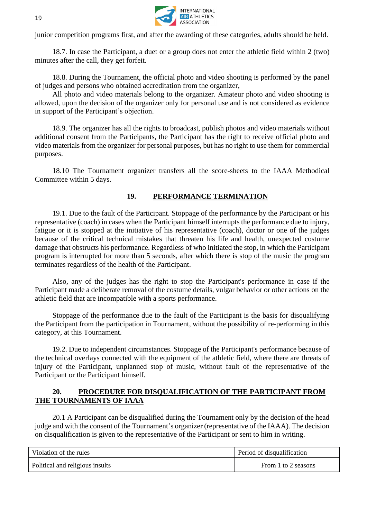

junior competition programs first, and after the awarding of these categories, adults should be held.

18.7. In case the Participant, a duet or a group does not enter the athletic field within 2 (two) minutes after the call, they get forfeit.

18.8. During the Tournament, the official photo and video shooting is performed by the panel of judges and persons who obtained accreditation from the organizer,

All photo and video materials belong to the organizer. Amateur photo and video shooting is allowed, upon the decision of the organizer only for personal use and is not considered as evidence in support of the Participant's objection.

18.9. The organizer has all the rights to broadcast, publish photos and video materials without additional consent from the Participants, the Participant has the right to receive official photo and video materials from the organizer for personal purposes, but has no right to use them for commercial purposes.

18.10 The Tournament organizer transfers all the score-sheets to the IAAA Methodical Committee within 5 days.

#### **19. PERFORMANCE TERMINATION**

19.1. Due to the fault of the Participant. Stoppage of the performance by the Participant or his representative (coach) in cases when the Participant himself interrupts the performance due to injury, fatigue or it is stopped at the initiative of his representative (coach), doctor or one of the judges because of the critical technical mistakes that threaten his life and health, unexpected costume damage that obstructs his performance. Regardless of who initiated the stop, in which the Participant program is interrupted for more than 5 seconds, after which there is stop of the music the program terminates regardless of the health of the Participant.

Also, any of the judges has the right to stop the Participant's performance in case if the Participant made a deliberate removal of the costume details, vulgar behavior or other actions on the athletic field that are incompatible with a sports performance.

Stoppage of the performance due to the fault of the Participant is the basis for disqualifying the Participant from the participation in Tournament, without the possibility of re-performing in this category, at this Tournament.

19.2. Due to independent circumstances. Stoppage of the Participant's performance because of the technical overlays connected with the equipment of the athletic field, where there are threats of injury of the Participant, unplanned stop of music, without fault of the representative of the Participant or the Participant himself.

#### **20. PROCEDURE FOR DISQUALIFICATION OF THE PARTICIPANT FROM THE TOURNAMENTS OF IAAA**

20.1 A Participant can be disqualified during the Tournament only by the decision of the head judge and with the consent of the Tournament's organizer (representative of the IAAA). The decision on disqualification is given to the representative of the Participant or sent to him in writing.

| Violation of the rules          | Period of disqualification |
|---------------------------------|----------------------------|
| Political and religious insults | From 1 to 2 seasons        |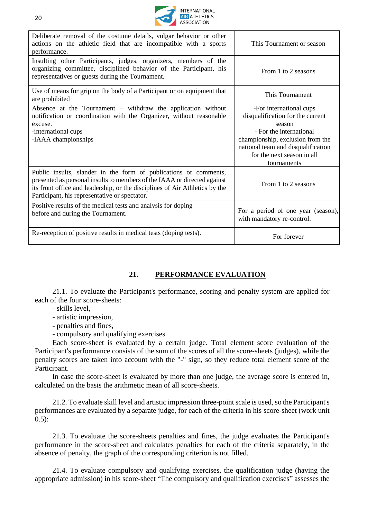

| Deliberate removal of the costume details, vulgar behavior or other<br>actions on the athletic field that are incompatible with a sports<br>performance.                                                                                                                     | This Tournament or season                                                                                                                                                                                               |
|------------------------------------------------------------------------------------------------------------------------------------------------------------------------------------------------------------------------------------------------------------------------------|-------------------------------------------------------------------------------------------------------------------------------------------------------------------------------------------------------------------------|
| Insulting other Participants, judges, organizers, members of the<br>organizing committee, disciplined behavior of the Participant, his<br>representatives or guests during the Tournament.                                                                                   | From 1 to 2 seasons                                                                                                                                                                                                     |
| Use of means for grip on the body of a Participant or on equipment that<br>are prohibited                                                                                                                                                                                    | This Tournament                                                                                                                                                                                                         |
| Absence at the Tournament – withdraw the application without<br>notification or coordination with the Organizer, without reasonable<br>excuse.<br>-international cups<br>-IAAA championships                                                                                 | -For international cups<br>disqualification for the current<br>season<br>- For the international<br>championship, exclusion from the<br>national team and disqualification<br>for the next season in all<br>tournaments |
| Public insults, slander in the form of publications or comments,<br>presented as personal insults to members of the IAAA or directed against<br>its front office and leadership, or the disciplines of Air Athletics by the<br>Participant, his representative or spectator. | From 1 to 2 seasons                                                                                                                                                                                                     |
| Positive results of the medical tests and analysis for doping<br>before and during the Tournament.                                                                                                                                                                           | For a period of one year (season),<br>with mandatory re-control.                                                                                                                                                        |
| Re-reception of positive results in medical tests (doping tests).                                                                                                                                                                                                            | For forever                                                                                                                                                                                                             |

# **21. PERFORMANCE EVALUATION**

21.1. To evaluate the Participant's performance, scoring and penalty system are applied for each of the four score-sheets:

- skills level,
- artistic impression,
- penalties and fines,
- compulsory and qualifying exercises

Each score-sheet is evaluated by a certain judge. Total element score evaluation of the Participant's performance consists of the sum of the scores of all the score-sheets (judges), while the penalty scores are taken into account with the "-" sign, so they reduce total element score of the Participant.

In case the score-sheet is evaluated by more than one judge, the average score is entered in, calculated on the basis the arithmetic mean of all score-sheets.

21.2. To evaluate skill level and artistic impression three-point scale is used, so the Participant's performances are evaluated by a separate judge, for each of the criteria in his score-sheet (work unit 0.5):

21.3. To evaluate the score-sheets penalties and fines, the judge evaluates the Participant's performance in the score-sheet and calculates penalties for each of the criteria separately, in the absence of penalty, the graph of the corresponding criterion is not filled.

21.4. To evaluate compulsory and qualifying exercises, the qualification judge (having the appropriate admission) in his score-sheet "The compulsory and qualification exercises" assesses the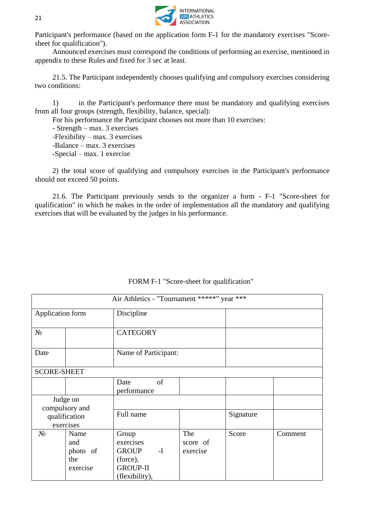

Participant's performance (based on the application form F-1 for the mandatory exercises "Scoresheet for qualification").

Announced exercises must correspond the conditions of performing an exercise, mentioned in appendix to these Rules and fixed for 3 sec at least.

21.5. The Participant independently chooses qualifying and compulsory exercises considering two conditions:

1) in the Participant's performance there must be mandatory and qualifying exercises from all four groups (strength, flexibility, balance, special):

For his performance the Participant chooses not more than 10 exercises:

- Strength – max. 3 exercises -Flexibility – max. 3 exercises -Balance – max. 3 exercises -Special – max. 1 exercise

2) the total score of qualifying and compulsory exercises in the Participant's performance should not exceed 50 points.

21.6. The Participant previously sends to the organizer a form - F-1 "Score-sheet for qualification" in which he makes in the order of implementation all the mandatory and qualifying exercises that will be evaluated by the judges in his performance.

|                    |                                            | Air Athletics - "Tournament *****" year ***                                               |                             |           |         |
|--------------------|--------------------------------------------|-------------------------------------------------------------------------------------------|-----------------------------|-----------|---------|
| Application form   |                                            | Discipline                                                                                |                             |           |         |
| $N_2$              |                                            | <b>CATEGORY</b>                                                                           |                             |           |         |
| Date               |                                            | Name of Participant:                                                                      |                             |           |         |
| <b>SCORE-SHEET</b> |                                            |                                                                                           |                             |           |         |
|                    |                                            | of<br>Date<br>performance                                                                 |                             |           |         |
|                    | Judge on<br>compulsory and                 |                                                                                           |                             |           |         |
|                    | qualification<br>exercises                 | Full name                                                                                 |                             | Signature |         |
| $N_2$              | Name<br>and<br>photo of<br>the<br>exercise | Group<br>exercises<br>GROUP <sub>I</sub><br>(force),<br><b>GROUP-II</b><br>(flexibility), | The<br>score of<br>exercise | Score     | Comment |

FORM F-1 "Score-sheet for qualification"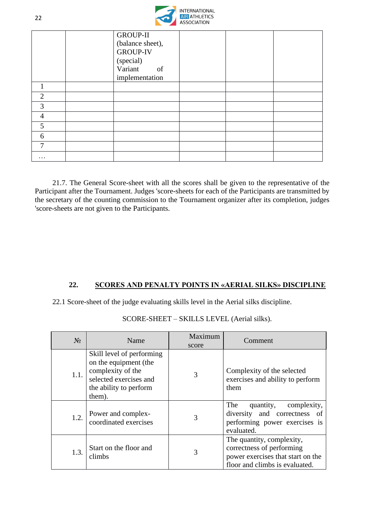

|                | <b>GROUP-II</b>  |  |  |
|----------------|------------------|--|--|
|                | (balance sheet), |  |  |
|                | <b>GROUP-IV</b>  |  |  |
|                | (special)        |  |  |
|                | Variant of       |  |  |
|                | implementation   |  |  |
| 1              |                  |  |  |
| $\overline{2}$ |                  |  |  |
| 3              |                  |  |  |
| $\overline{4}$ |                  |  |  |
| 5              |                  |  |  |
| 6              |                  |  |  |
| 7              |                  |  |  |
| $\cdots$       |                  |  |  |

21.7. The General Score-sheet with all the scores shall be given to the representative of the Participant after the Tournament. Judges 'score-sheets for each of the Participants are transmitted by the secretary of the counting commission to the Tournament organizer after its completion, judges 'score-sheets are not given to the Participants.

# **22. SCORES AND PENALTY POINTS IN «AERIAL SILKS» DISCIPLINE**

22.1 Score-sheet of the judge evaluating skills level in the Aerial silks discipline.

| $N_2$ | Name                                                                                                                                  | Maximum<br>score | Comment                                                                                                                       |
|-------|---------------------------------------------------------------------------------------------------------------------------------------|------------------|-------------------------------------------------------------------------------------------------------------------------------|
| 1.1.  | Skill level of performing<br>on the equipment (the<br>complexity of the<br>selected exercises and<br>the ability to perform<br>them). | 3                | Complexity of the selected<br>exercises and ability to perform<br>them                                                        |
| 1.2.  | Power and complex-<br>coordinated exercises                                                                                           | 3                | The<br>quantity,<br>complexity,<br>diversity and correctness of<br>performing power exercises is<br>evaluated.                |
| 1.3.  | Start on the floor and<br>climbs                                                                                                      | 3                | The quantity, complexity,<br>correctness of performing<br>power exercises that start on the<br>floor and climbs is evaluated. |

SCORE-SHEET – SKILLS LEVEL (Aerial silks).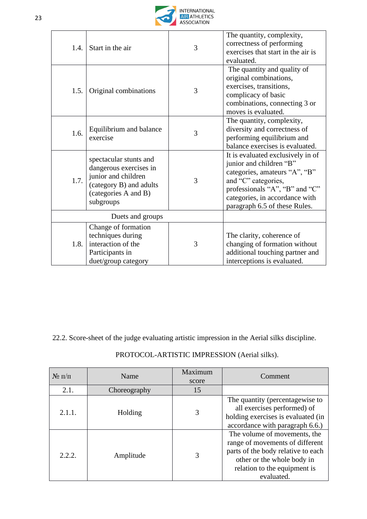

| 1.4.             | Start in the air                                                                                                                        | 3 | The quantity, complexity,<br>correctness of performing<br>exercises that start in the air is<br>evaluated.                                                                                                                |
|------------------|-----------------------------------------------------------------------------------------------------------------------------------------|---|---------------------------------------------------------------------------------------------------------------------------------------------------------------------------------------------------------------------------|
| 1.5.             | Original combinations                                                                                                                   | 3 | The quantity and quality of<br>original combinations,<br>exercises, transitions,<br>complicacy of basic<br>combinations, connecting 3 or<br>moves is evaluated.                                                           |
| 1.6.             | Equilibrium and balance<br>exercise                                                                                                     | 3 | The quantity, complexity,<br>diversity and correctness of<br>performing equilibrium and<br>balance exercises is evaluated.                                                                                                |
| 1.7.             | spectacular stunts and<br>dangerous exercises in<br>junior and children<br>(category B) and adults<br>(categories A and B)<br>subgroups | 3 | It is evaluated exclusively in of<br>junior and children "B"<br>categories, amateurs "A", "B"<br>and "C" categories,<br>professionals "A", "B" and "C"<br>categories, in accordance with<br>paragraph 6.5 of these Rules. |
| Duets and groups |                                                                                                                                         |   |                                                                                                                                                                                                                           |
| 1.8.             | Change of formation<br>techniques during<br>interaction of the<br>Participants in<br>duet/group category                                | 3 | The clarity, coherence of<br>changing of formation without<br>additional touching partner and<br>interceptions is evaluated.                                                                                              |

22.2. Score-sheet of the judge evaluating artistic impression in the Aerial silks discipline.

PROTOCOL-ARTISTIC IMPRESSION (Aerial silks).

| $N_2 \pi/\pi$ | Name         | Maximum<br>score | Comment                                                                                                                                                                           |
|---------------|--------------|------------------|-----------------------------------------------------------------------------------------------------------------------------------------------------------------------------------|
| 2.1.          | Choreography | 15               |                                                                                                                                                                                   |
| 2.1.1.        | Holding      | 3                | The quantity (percentagewise to<br>all exercises performed) of<br>holding exercises is evaluated (in<br>accordance with paragraph 6.6.)                                           |
| 2.2.2.        | Amplitude    | 3                | The volume of movements, the<br>range of movements of different<br>parts of the body relative to each<br>other or the whole body in<br>relation to the equipment is<br>evaluated. |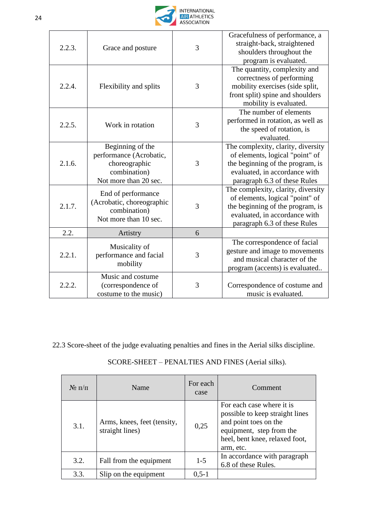

| 2.2.3. | Grace and posture                                                                                     | 3 | Gracefulness of performance, a<br>straight-back, straightened<br>shoulders throughout the<br>program is evaluated.                                                         |
|--------|-------------------------------------------------------------------------------------------------------|---|----------------------------------------------------------------------------------------------------------------------------------------------------------------------------|
| 2.2.4. | Flexibility and splits                                                                                | 3 | The quantity, complexity and<br>correctness of performing<br>mobility exercises (side split,<br>front split) spine and shoulders<br>mobility is evaluated.                 |
| 2.2.5. | Work in rotation                                                                                      | 3 | The number of elements<br>performed in rotation, as well as<br>the speed of rotation, is<br>evaluated.                                                                     |
| 2.1.6. | Beginning of the<br>performance (Acrobatic,<br>choreographic<br>combination)<br>Not more than 20 sec. | 3 | The complexity, clarity, diversity<br>of elements, logical "point" of<br>the beginning of the program, is<br>evaluated, in accordance with<br>paragraph 6.3 of these Rules |
| 2.1.7. | End of performance<br>(Acrobatic, choreographic<br>combination)<br>Not more than 10 sec.              | 3 | The complexity, clarity, diversity<br>of elements, logical "point" of<br>the beginning of the program, is<br>evaluated, in accordance with<br>paragraph 6.3 of these Rules |
| 2.2.   | Artistry                                                                                              | 6 |                                                                                                                                                                            |
| 2.2.1. | Musicality of<br>performance and facial<br>mobility                                                   | 3 | The correspondence of facial<br>gesture and image to movements<br>and musical character of the<br>program (accents) is evaluated                                           |
| 2.2.2. | Music and costume<br>(correspondence of<br>costume to the music)                                      | 3 | Correspondence of costume and<br>music is evaluated.                                                                                                                       |

22.3 Score-sheet of the judge evaluating penalties and fines in the Aerial silks discipline.

| $N_2 \pi/\pi$ | Name                                           | For each<br>case | Comment                                                                                                                                                          |
|---------------|------------------------------------------------|------------------|------------------------------------------------------------------------------------------------------------------------------------------------------------------|
| 3.1.          | Arms, knees, feet (tensity,<br>straight lines) | 0,25             | For each case where it is<br>possible to keep straight lines<br>and point toes on the<br>equipment, step from the<br>heel, bent knee, relaxed foot,<br>arm, etc. |
| 3.2.          | Fall from the equipment                        | $1-5$            | In accordance with paragraph<br>6.8 of these Rules.                                                                                                              |
| 3.3.          | Slip on the equipment                          | $0, 5 - 1$       |                                                                                                                                                                  |

SCORE-SHEET – PENALTIES AND FINES (Aerial silks).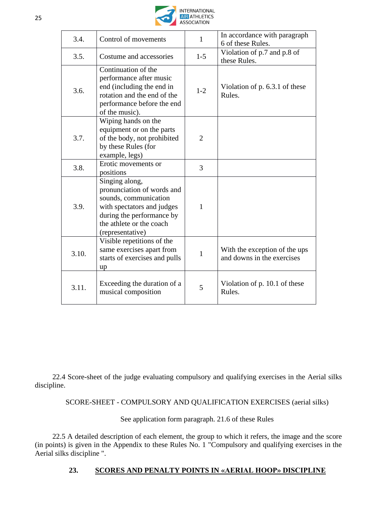

| 3.4.  | Control of movements                                                                                                                                                             | 1              | In accordance with paragraph<br>6 of these Rules.           |
|-------|----------------------------------------------------------------------------------------------------------------------------------------------------------------------------------|----------------|-------------------------------------------------------------|
| 3.5.  | Costume and accessories                                                                                                                                                          | $1 - 5$        | Violation of p.7 and p.8 of<br>these Rules.                 |
| 3.6.  | Continuation of the<br>performance after music<br>end (including the end in<br>rotation and the end of the<br>performance before the end<br>of the music).                       | $1 - 2$        | Violation of p. 6.3.1 of these<br>Rules.                    |
| 3.7.  | Wiping hands on the<br>equipment or on the parts<br>of the body, not prohibited<br>by these Rules (for<br>example, legs)                                                         | $\overline{2}$ |                                                             |
| 3.8.  | Erotic movements or<br>positions                                                                                                                                                 | 3              |                                                             |
| 3.9.  | Singing along,<br>pronunciation of words and<br>sounds, communication<br>with spectators and judges<br>during the performance by<br>the athlete or the coach<br>(representative) | 1              |                                                             |
| 3.10. | Visible repetitions of the<br>same exercises apart from<br>starts of exercises and pulls<br>up                                                                                   | 1              | With the exception of the ups<br>and downs in the exercises |
| 3.11. | Exceeding the duration of a<br>musical composition                                                                                                                               | 5              | Violation of p. 10.1 of these<br>Rules.                     |

22.4 Score-sheet of the judge evaluating compulsory and qualifying exercises in the Aerial silks discipline.

SCORE-SHEET - COMPULSORY AND QUALIFICATION EXERCISES (aerial silks)

See application form paragraph. 21.6 of these Rules

22.5 A detailed description of each element, the group to which it refers, the image and the score (in points) is given in the Appendix to these Rules No. 1 "Compulsory and qualifying exercises in the Aerial silks discipline ".

# **23. SCORES AND PENALTY POINTS IN «AERIAL HOOP» DISCIPLINE**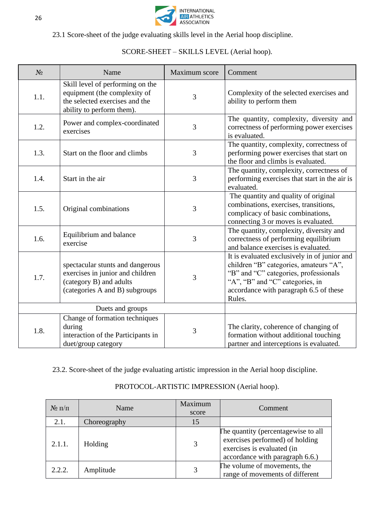

23.1 Score-sheet of the judge evaluating skills level in the Aerial hoop discipline.

| $N_2$ | Name                                                                                                                              | Maximum score | Comment                                                                                                                                                                                                                |
|-------|-----------------------------------------------------------------------------------------------------------------------------------|---------------|------------------------------------------------------------------------------------------------------------------------------------------------------------------------------------------------------------------------|
| 1.1.  | Skill level of performing on the<br>equipment (the complexity of<br>the selected exercises and the<br>ability to perform them).   | 3             | Complexity of the selected exercises and<br>ability to perform them                                                                                                                                                    |
| 1.2.  | Power and complex-coordinated<br>exercises                                                                                        | 3             | The quantity, complexity, diversity and<br>correctness of performing power exercises<br>is evaluated.                                                                                                                  |
| 1.3.  | Start on the floor and climbs                                                                                                     | 3             | The quantity, complexity, correctness of<br>performing power exercises that start on<br>the floor and climbs is evaluated.                                                                                             |
| 1.4.  | Start in the air                                                                                                                  | 3             | The quantity, complexity, correctness of<br>performing exercises that start in the air is<br>evaluated.                                                                                                                |
| 1.5.  | Original combinations                                                                                                             | 3             | The quantity and quality of original<br>combinations, exercises, transitions,<br>complicacy of basic combinations,<br>connecting 3 or moves is evaluated.                                                              |
| 1.6.  | Equilibrium and balance<br>exercise                                                                                               | 3             | The quantity, complexity, diversity and<br>correctness of performing equilibrium<br>and balance exercises is evaluated.                                                                                                |
| 1.7.  | spectacular stunts and dangerous<br>exercises in junior and children<br>(category B) and adults<br>(categories A and B) subgroups | 3             | It is evaluated exclusively in of junior and<br>children "B" categories, amateurs "A",<br>"B" and "C" categories, professionals<br>"A", "B" and "C" categories, in<br>accordance with paragraph 6.5 of these<br>Rules. |
|       | Duets and groups                                                                                                                  |               |                                                                                                                                                                                                                        |
| 1.8.  | Change of formation techniques<br>during<br>interaction of the Participants in<br>duet/group category                             | 3             | The clarity, coherence of changing of<br>formation without additional touching<br>partner and interceptions is evaluated.                                                                                              |

SCORE-SHEET – SKILLS LEVEL (Aerial hoop).

23.2. Score-sheet of the judge evaluating artistic impression in the Aerial hoop discipline.

| $N_2 \Pi/\Pi$ | Name         | Maximum<br>score | <b>Comment</b>                                                                                                                          |
|---------------|--------------|------------------|-----------------------------------------------------------------------------------------------------------------------------------------|
| 2.1.          | Choreography | 15               |                                                                                                                                         |
| 2.1.1.        | Holding      | 3                | The quantity (percentagewise to all<br>exercises performed) of holding<br>exercises is evaluated (in<br>accordance with paragraph 6.6.) |
| 2.2.2.        | Amplitude    |                  | The volume of movements, the<br>range of movements of different                                                                         |

# PROTOCOL-ARTISTIC IMPRESSION (Aerial hoop).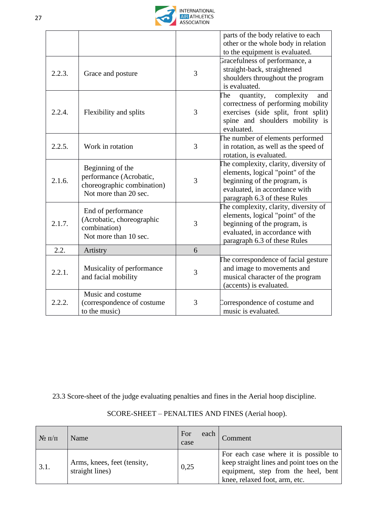

|        |                                                                                                    |   | parts of the body relative to each<br>other or the whole body in relation<br>to the equipment is evaluated.                                                                |
|--------|----------------------------------------------------------------------------------------------------|---|----------------------------------------------------------------------------------------------------------------------------------------------------------------------------|
| 2.2.3. | Grace and posture                                                                                  | 3 | Gracefulness of performance, a<br>straight-back, straightened<br>shoulders throughout the program<br>is evaluated.                                                         |
| 2.2.4. | Flexibility and splits                                                                             | 3 | complexity<br>quantity,<br><b>The</b><br>and<br>correctness of performing mobility<br>exercises (side split, front split)<br>spine and shoulders mobility is<br>evaluated. |
| 2.2.5. | Work in rotation                                                                                   | 3 | The number of elements performed<br>in rotation, as well as the speed of<br>rotation, is evaluated.                                                                        |
| 2.1.6. | Beginning of the<br>performance (Acrobatic,<br>choreographic combination)<br>Not more than 20 sec. | 3 | The complexity, clarity, diversity of<br>elements, logical "point" of the<br>beginning of the program, is<br>evaluated, in accordance with<br>paragraph 6.3 of these Rules |
| 2.1.7. | End of performance<br>(Acrobatic, choreographic<br>combination)<br>Not more than 10 sec.           | 3 | The complexity, clarity, diversity of<br>elements, logical "point" of the<br>beginning of the program, is<br>evaluated, in accordance with<br>paragraph 6.3 of these Rules |
| 2.2.   | Artistry                                                                                           | 6 |                                                                                                                                                                            |
| 2.2.1. | Musicality of performance<br>and facial mobility                                                   | 3 | The correspondence of facial gesture<br>and image to movements and<br>musical character of the program<br>(accents) is evaluated.                                          |
| 2.2.2. | Music and costume<br>(correspondence of costume<br>to the music)                                   | 3 | Correspondence of costume and<br>music is evaluated.                                                                                                                       |

23.3 Score-sheet of the judge evaluating penalties and fines in the Aerial hoop discipline.

| $\mathcal{N}$ о п/п | Name                                           | For<br>case | each | Comment                                                                                                                                                    |
|---------------------|------------------------------------------------|-------------|------|------------------------------------------------------------------------------------------------------------------------------------------------------------|
| 3.1.                | Arms, knees, feet (tensity,<br>straight lines) | 0,25        |      | For each case where it is possible to<br>keep straight lines and point toes on the<br>equipment, step from the heel, bent<br>knee, relaxed foot, arm, etc. |

# SCORE-SHEET – PENALTIES AND FINES (Aerial hoop).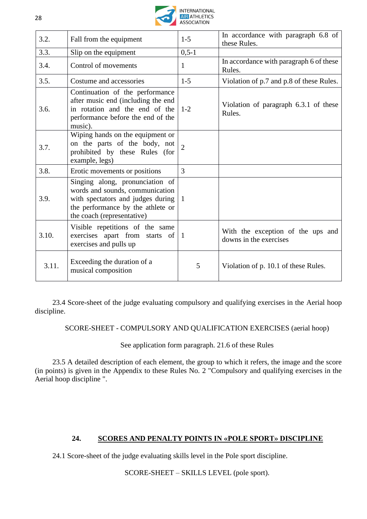

| 3.2.  | Fall from the equipment                                                                                                                                                    | $1 - 5$        | In accordance with paragraph 6.8 of<br>these Rules.         |
|-------|----------------------------------------------------------------------------------------------------------------------------------------------------------------------------|----------------|-------------------------------------------------------------|
| 3.3.  | Slip on the equipment                                                                                                                                                      | $0, 5 - 1$     |                                                             |
| 3.4.  | Control of movements                                                                                                                                                       | 1              | In accordance with paragraph 6 of these<br>Rules.           |
| 3.5.  | Costume and accessories                                                                                                                                                    | $1 - 5$        | Violation of p.7 and p.8 of these Rules.                    |
| 3.6.  | Continuation of the performance<br>after music end (including the end<br>in rotation and the end of the<br>performance before the end of the<br>music).                    | $1 - 2$        | Violation of paragraph 6.3.1 of these<br>Rules.             |
| 3.7.  | Wiping hands on the equipment or<br>on the parts of the body, not<br>prohibited by these Rules (for<br>example, legs)                                                      | $\overline{2}$ |                                                             |
| 3.8.  | Erotic movements or positions                                                                                                                                              | $\overline{3}$ |                                                             |
| 3.9.  | Singing along, pronunciation of<br>words and sounds, communication<br>with spectators and judges during<br>the performance by the athlete or<br>the coach (representative) | $\overline{1}$ |                                                             |
| 3.10. | Visible repetitions of the same<br>exercises apart from starts of $ 1 $<br>exercises and pulls up                                                                          |                | With the exception of the ups and<br>downs in the exercises |
| 3.11. | Exceeding the duration of a<br>musical composition                                                                                                                         | 5              | Violation of p. 10.1 of these Rules.                        |

23.4 Score-sheet of the judge evaluating compulsory and qualifying exercises in the Aerial hoop discipline.

SCORE-SHEET - COMPULSORY AND QUALIFICATION EXERCISES (aerial hoop)

See application form paragraph. 21.6 of these Rules

23.5 A detailed description of each element, the group to which it refers, the image and the score (in points) is given in the Appendix to these Rules No. 2 "Compulsory and qualifying exercises in the Aerial hoop discipline ".

# **24. SCORES AND PENALTY POINTS IN «POLE SPORT» DISCIPLINE**

24.1 Score-sheet of the judge evaluating skills level in the Pole sport discipline.

SCORE-SHEET – SKILLS LEVEL (pole sport).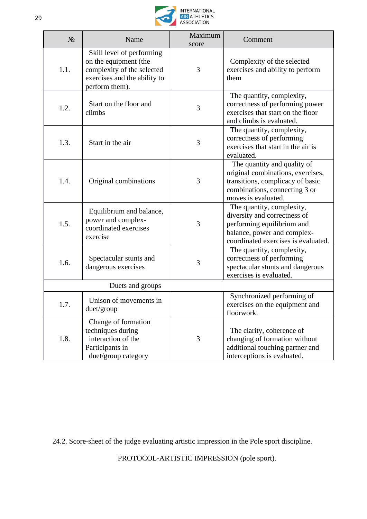

| $N_2$ | Name                                                                                                                               | Maximum<br>score | Comment                                                                                                                                                       |
|-------|------------------------------------------------------------------------------------------------------------------------------------|------------------|---------------------------------------------------------------------------------------------------------------------------------------------------------------|
| 1.1.  | Skill level of performing<br>on the equipment (the<br>complexity of the selected<br>exercises and the ability to<br>perform them). | 3                | Complexity of the selected<br>exercises and ability to perform<br>them                                                                                        |
| 1.2.  | Start on the floor and<br>climbs                                                                                                   | 3                | The quantity, complexity,<br>correctness of performing power<br>exercises that start on the floor<br>and climbs is evaluated.                                 |
| 1.3.  | Start in the air                                                                                                                   | 3                | The quantity, complexity,<br>correctness of performing<br>exercises that start in the air is<br>evaluated.                                                    |
| 1.4.  | Original combinations                                                                                                              | 3                | The quantity and quality of<br>original combinations, exercises,<br>transitions, complicacy of basic<br>combinations, connecting 3 or<br>moves is evaluated.  |
| 1.5.  | Equilibrium and balance,<br>power and complex-<br>coordinated exercises<br>exercise                                                | 3                | The quantity, complexity,<br>diversity and correctness of<br>performing equilibrium and<br>balance, power and complex-<br>coordinated exercises is evaluated. |
| 1.6.  | Spectacular stunts and<br>dangerous exercises                                                                                      | 3                | The quantity, complexity,<br>correctness of performing<br>spectacular stunts and dangerous<br>exercises is evaluated.                                         |
|       | Duets and groups                                                                                                                   |                  |                                                                                                                                                               |
| 1.7.  | Unison of movements in<br>duet/group                                                                                               |                  | Synchronized performing of<br>exercises on the equipment and<br>floorwork.                                                                                    |
| 1.8.  | Change of formation<br>techniques during<br>interaction of the<br>Participants in<br>duet/group category                           | 3                | The clarity, coherence of<br>changing of formation without<br>additional touching partner and<br>interceptions is evaluated.                                  |

24.2. Score-sheet of the judge evaluating artistic impression in the Pole sport discipline.

PROTOCOL-ARTISTIC IMPRESSION (pole sport).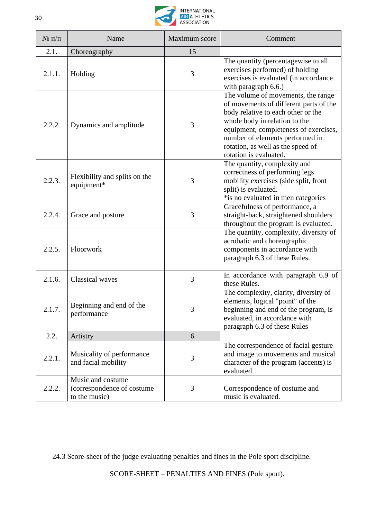

| $N$ о п $/\Pi$ | Name                                                             | Maximum score | Comment                                                                                                                                                                                                                                                                                        |
|----------------|------------------------------------------------------------------|---------------|------------------------------------------------------------------------------------------------------------------------------------------------------------------------------------------------------------------------------------------------------------------------------------------------|
| 2.1.           | Choreography                                                     | 15            |                                                                                                                                                                                                                                                                                                |
| 2.1.1.         | Holding                                                          | 3             | The quantity (percentagewise to all<br>exercises performed) of holding<br>exercises is evaluated (in accordance<br>with paragraph 6.6.)                                                                                                                                                        |
| 2.2.2.         | Dynamics and amplitude                                           | 3             | The volume of movements, the range<br>of movements of different parts of the<br>body relative to each other or the<br>whole body in relation to the<br>equipment, completeness of exercises,<br>number of elements performed in<br>rotation, as well as the speed of<br>rotation is evaluated. |
| 2.2.3.         | Flexibility and splits on the<br>equipment*                      | 3             | The quantity, complexity and<br>correctness of performing legs<br>mobility exercises (side split, front<br>split) is evaluated.<br>*is no evaluated in men categories                                                                                                                          |
| 2.2.4.         | Grace and posture                                                | 3             | Gracefulness of performance, a<br>straight-back, straightened shoulders<br>throughout the program is evaluated.                                                                                                                                                                                |
| 2.2.5.         | Floorwork                                                        |               | The quantity, complexity, diversity of<br>acrobatic and choreographic<br>components in accordance with<br>paragraph 6.3 of these Rules.                                                                                                                                                        |
| 2.1.6.         | <b>Classical</b> waves                                           | 3             | In accordance with paragraph 6.9 of<br>these Rules.                                                                                                                                                                                                                                            |
| 2.1.7.         | Beginning and end of the<br>performance                          | 3             | The complexity, clarity, diversity of<br>elements, logical "point" of the<br>beginning and end of the program, is<br>evaluated, in accordance with<br>paragraph 6.3 of these Rules                                                                                                             |
| 2.2.           | Artistry                                                         | 6             |                                                                                                                                                                                                                                                                                                |
| 2.2.1.         | Musicality of performance<br>and facial mobility                 | 3             | The correspondence of facial gesture<br>and image to movements and musical<br>character of the program (accents) is<br>evaluated.                                                                                                                                                              |
| 2.2.2.         | Music and costume<br>(correspondence of costume<br>to the music) | 3             | Correspondence of costume and<br>music is evaluated.                                                                                                                                                                                                                                           |

24.3 Score-sheet of the judge evaluating penalties and fines in the Pole sport discipline.

SCORE-SHEET – PENALTIES AND FINES (Pole sport).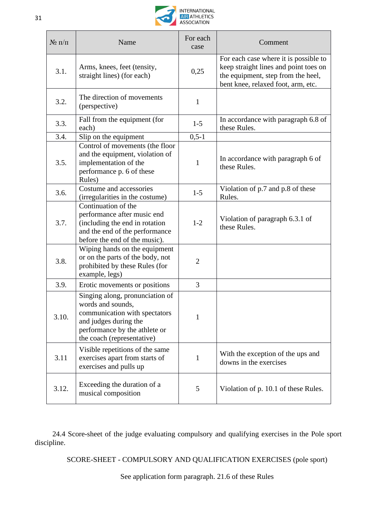

| $N$ о п/п | Name                                                                                                                                                                          | For each<br>case | Comment                                                                                                                                                    |
|-----------|-------------------------------------------------------------------------------------------------------------------------------------------------------------------------------|------------------|------------------------------------------------------------------------------------------------------------------------------------------------------------|
| 3.1.      | Arms, knees, feet (tensity,<br>straight lines) (for each)                                                                                                                     | 0,25             | For each case where it is possible to<br>keep straight lines and point toes on<br>the equipment, step from the heel,<br>bent knee, relaxed foot, arm, etc. |
| 3.2.      | The direction of movements<br>(perspective)                                                                                                                                   | $\mathbf{1}$     |                                                                                                                                                            |
| 3.3.      | Fall from the equipment (for<br>each)                                                                                                                                         | $1 - 5$          | In accordance with paragraph 6.8 of<br>these Rules.                                                                                                        |
| 3.4.      | Slip on the equipment                                                                                                                                                         | $0, 5 - 1$       |                                                                                                                                                            |
| 3.5.      | Control of movements (the floor<br>and the equipment, violation of<br>implementation of the<br>performance p. 6 of these<br>Rules)                                            | $\mathbf{1}$     | In accordance with paragraph 6 of<br>these Rules.                                                                                                          |
| 3.6.      | Costume and accessories<br>(irregularities in the costume)                                                                                                                    | $1 - 5$          | Violation of p.7 and p.8 of these<br>Rules.                                                                                                                |
| 3.7.      | Continuation of the<br>performance after music end<br>(including the end in rotation<br>and the end of the performance<br>before the end of the music).                       | $1 - 2$          | Violation of paragraph 6.3.1 of<br>these Rules.                                                                                                            |
| 3.8.      | Wiping hands on the equipment<br>or on the parts of the body, not<br>prohibited by these Rules (for<br>example, legs)                                                         | $\overline{2}$   |                                                                                                                                                            |
| 3.9.      | Erotic movements or positions                                                                                                                                                 | 3                |                                                                                                                                                            |
| 3.10.     | Singing along, pronunciation of<br>words and sounds,<br>communication with spectators<br>and judges during the<br>performance by the athlete or<br>the coach (representative) | 1                |                                                                                                                                                            |
| 3.11      | Visible repetitions of the same<br>exercises apart from starts of<br>exercises and pulls up                                                                                   | $\mathbf{1}$     | With the exception of the ups and<br>downs in the exercises                                                                                                |
| 3.12.     | Exceeding the duration of a<br>musical composition                                                                                                                            | 5                | Violation of p. 10.1 of these Rules.                                                                                                                       |

24.4 Score-sheet of the judge evaluating compulsory and qualifying exercises in the Pole sport discipline.

SCORE-SHEET - COMPULSORY AND QUALIFICATION EXERCISES (pole sport)

See application form paragraph. 21.6 of these Rules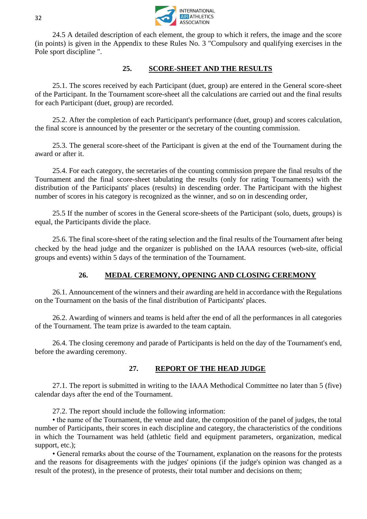

24.5 A detailed description of each element, the group to which it refers, the image and the score (in points) is given in the Appendix to these Rules No. 3 "Compulsory and qualifying exercises in the Pole sport discipline ".

#### **25. SCORE-SHEET AND THE RESULTS**

25.1. The scores received by each Participant (duet, group) are entered in the General score-sheet of the Participant. In the Tournament score-sheet all the calculations are carried out and the final results for each Participant (duet, group) are recorded.

25.2. After the completion of each Participant's performance (duet, group) and scores calculation, the final score is announced by the presenter or the secretary of the counting commission.

25.3. The general score-sheet of the Participant is given at the end of the Tournament during the award or after it.

25.4. For each category, the secretaries of the counting commission prepare the final results of the Tournament and the final score-sheet tabulating the results (only for rating Tournaments) with the distribution of the Participants' places (results) in descending order. The Participant with the highest number of scores in his category is recognized as the winner, and so on in descending order,

25.5 If the number of scores in the General score-sheets of the Participant (solo, duets, groups) is equal, the Participants divide the place.

25.6. The final score-sheet of the rating selection and the final results of the Tournament after being checked by the head judge and the organizer is published on the IAAA resources (web-site, official groups and events) within 5 days of the termination of the Tournament.

# **26. MEDAL CEREMONY, OPENING AND CLOSING CEREMONY**

26.1. Announcement of the winners and their awarding are held in accordance with the Regulations on the Tournament on the basis of the final distribution of Participants' places.

26.2. Awarding of winners and teams is held after the end of all the performances in all categories of the Tournament. The team prize is awarded to the team captain.

26.4. The closing ceremony and parade of Participants is held on the day of the Tournament's end, before the awarding ceremony.

# **27. REPORT OF THE HEAD JUDGE**

27.1. The report is submitted in writing to the IAAA Methodical Committee no later than 5 (five) calendar days after the end of the Tournament.

27.2. The report should include the following information:

• the name of the Tournament, the venue and date, the composition of the panel of judges, the total number of Participants, their scores in each discipline and category, the characteristics of the conditions in which the Tournament was held (athletic field and equipment parameters, organization, medical support, etc.);

• General remarks about the course of the Tournament, explanation on the reasons for the protests and the reasons for disagreements with the judges' opinions (if the judge's opinion was changed as a result of the protest), in the presence of protests, their total number and decisions on them;